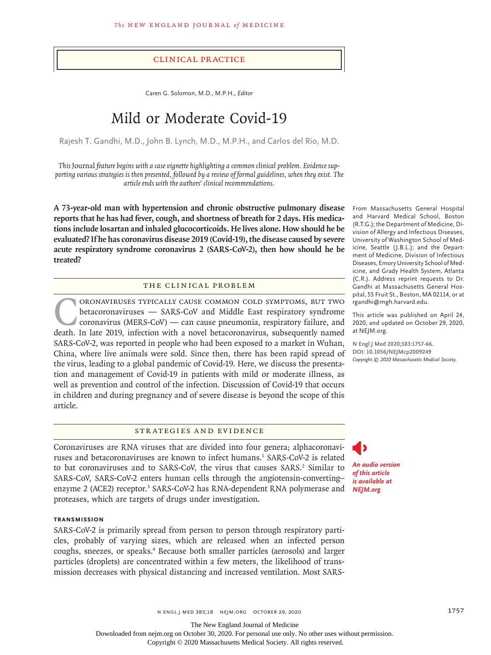## Clinical Practice

Caren G. Solomon, M.D., M.P.H., *Editor*

# Mild or Moderate Covid-19

Rajesh T. Gandhi, M.D., John B. Lynch, M.D., M.P.H., and Carlos del Rio, M.D.

*This* Journal *feature begins with a case vignette highlighting a common clinical problem. Evidence supporting various strategies is then presented, followed by a review of formal guidelines, when they exist. The article ends with the authors' clinical recommendations.*

**A 73-year-old man with hypertension and chronic obstructive pulmonary disease reports that he has had fever, cough, and shortness of breath for 2 days. His medications include losartan and inhaled glucocorticoids. He lives alone. How should he be evaluated? If he has coronavirus disease 2019 (Covid-19), the disease caused by severe acute respiratory syndrome coronavirus 2 (SARS-CoV-2), then how should he be treated?**

## The Clinical Problem

ORONAVIRUSES TYPICALLY CAUSE COMMON COLD SYMPTOMS, BUT TWO<br>betacoronaviruses — SARS-CoV and Middle East respiratory syndrome<br>coronavirus (MERS-CoV) — can cause pneumonia, respiratory failure, and<br>death. In late 2019, infec betacoronaviruses — SARS-CoV and Middle East respiratory syndrome coronavirus (MERS-CoV) — can cause pneumonia, respiratory failure, and death. In late 2019, infection with a novel betacoronavirus, subsequently named SARS-CoV-2, was reported in people who had been exposed to a market in Wuhan, China, where live animals were sold. Since then, there has been rapid spread of the virus, leading to a global pandemic of Covid-19. Here, we discuss the presentation and management of Covid-19 in patients with mild or moderate illness, as well as prevention and control of the infection. Discussion of Covid-19 that occurs in children and during pregnancy and of severe disease is beyond the scope of this article.

## Strategies and Evidence

Coronaviruses are RNA viruses that are divided into four genera; alphacoronaviruses and betacoronaviruses are known to infect humans.<sup>1</sup> SARS-CoV-2 is related to bat coronaviruses and to SARS-CoV, the virus that causes SARS.<sup>2</sup> Similar to SARS-CoV, SARS-CoV-2 enters human cells through the angiotensin-converting– enzyme 2 (ACE2) receptor.<sup>3</sup> SARS-CoV-2 has RNA-dependent RNA polymerase and proteases, which are targets of drugs under investigation.

## **Transmission**

SARS-CoV-2 is primarily spread from person to person through respiratory particles, probably of varying sizes, which are released when an infected person coughs, sneezes, or speaks.<sup>4</sup> Because both smaller particles (aerosols) and larger particles (droplets) are concentrated within a few meters, the likelihood of transmission decreases with physical distancing and increased ventilation. Most SARS-

From Massachusetts General Hospital and Harvard Medical School, Boston (R.T.G.); the Department of Medicine, Division of Allergy and Infectious Diseases, University of Washington School of Medicine, Seattle (J.B.L.); and the Department of Medicine, Division of Infectious Diseases, Emory University School of Medicine, and Grady Health System, Atlanta (C.R.). Address reprint requests to Dr. Gandhi at Massachusetts General Hospital, 55 Fruit St., Boston, MA 02114, or at rgandhi@mgh.harvard.edu.

This article was published on April 24, 2020, and updated on October 29, 2020, at NEJM.org.

**N Engl J Med 2020;383:1757-66. DOI: 10.1056/NEJMcp2009249** *Copyright © 2020 Massachusetts Medical Society.*

*An audio version of this article is available at NEJM.org*

n engl j med 383;18 nejm.org October 29, 2020 1757 1757

The New England Journal of Medicine

Downloaded from nejm.org on October 30, 2020. For personal use only. No other uses without permission.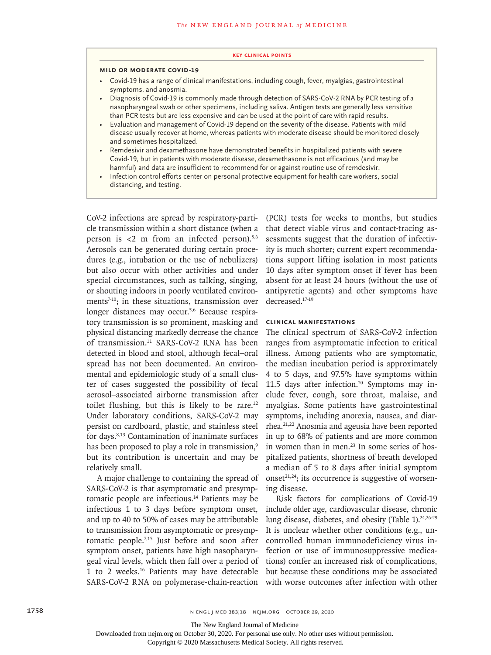#### **Key Clinical Points**

## **Mild or Moderate Covid-19**

- Covid-19 has a range of clinical manifestations, including cough, fever, myalgias, gastrointestinal symptoms, and anosmia.
- Diagnosis of Covid-19 is commonly made through detection of SARS-CoV-2 RNA by PCR testing of a nasopharyngeal swab or other specimens, including saliva. Antigen tests are generally less sensitive than PCR tests but are less expensive and can be used at the point of care with rapid results.
- Evaluation and management of Covid-19 depend on the severity of the disease. Patients with mild disease usually recover at home, whereas patients with moderate disease should be monitored closely and sometimes hospitalized.
- Remdesivir and dexamethasone have demonstrated benefits in hospitalized patients with severe Covid-19, but in patients with moderate disease, dexamethasone is not efficacious (and may be harmful) and data are insufficient to recommend for or against routine use of remdesivir.
- Infection control efforts center on personal protective equipment for health care workers, social distancing, and testing.

CoV-2 infections are spread by respiratory-particle transmission within a short distance (when a person is  $\lt 2$  m from an infected person).<sup>5,6</sup> Aerosols can be generated during certain procedures (e.g., intubation or the use of nebulizers) but also occur with other activities and under special circumstances, such as talking, singing, or shouting indoors in poorly ventilated environments $7-10$ ; in these situations, transmission over longer distances may occur.5,6 Because respiratory transmission is so prominent, masking and physical distancing markedly decrease the chance of transmission.<sup>11</sup> SARS-CoV-2 RNA has been detected in blood and stool, although fecal–oral spread has not been documented. An environmental and epidemiologic study of a small cluster of cases suggested the possibility of fecal aerosol–associated airborne transmission after toilet flushing, but this is likely to be rare.<sup>12</sup> Under laboratory conditions, SARS-CoV-2 may persist on cardboard, plastic, and stainless steel for days.8,13 Contamination of inanimate surfaces has been proposed to play a role in transmission,<sup>9</sup> but its contribution is uncertain and may be relatively small.

A major challenge to containing the spread of SARS-CoV-2 is that asymptomatic and presymptomatic people are infectious.14 Patients may be infectious 1 to 3 days before symptom onset, and up to 40 to 50% of cases may be attributable to transmission from asymptomatic or presymptomatic people.7,15 Just before and soon after symptom onset, patients have high nasopharyngeal viral levels, which then fall over a period of 1 to 2 weeks.16 Patients may have detectable SARS-CoV-2 RNA on polymerase-chain-reaction

(PCR) tests for weeks to months, but studies that detect viable virus and contact-tracing assessments suggest that the duration of infectivity is much shorter; current expert recommendations support lifting isolation in most patients 10 days after symptom onset if fever has been absent for at least 24 hours (without the use of antipyretic agents) and other symptoms have decreased.17-19

## **Clinical Manifestations**

The clinical spectrum of SARS-CoV-2 infection ranges from asymptomatic infection to critical illness. Among patients who are symptomatic, the median incubation period is approximately 4 to 5 days, and 97.5% have symptoms within 11.5 days after infection.<sup>20</sup> Symptoms may include fever, cough, sore throat, malaise, and myalgias. Some patients have gastrointestinal symptoms, including anorexia, nausea, and diarrhea.21,22 Anosmia and ageusia have been reported in up to 68% of patients and are more common in women than in men.<sup>23</sup> In some series of hospitalized patients, shortness of breath developed a median of 5 to 8 days after initial symptom onset $21,24$ ; its occurrence is suggestive of worsening disease.

Risk factors for complications of Covid-19 include older age, cardiovascular disease, chronic lung disease, diabetes, and obesity (Table 1). $24,26-29$ It is unclear whether other conditions (e.g., uncontrolled human immunodeficiency virus infection or use of immunosuppressive medications) confer an increased risk of complications, but because these conditions may be associated with worse outcomes after infection with other

The New England Journal of Medicine

Downloaded from nejm.org on October 30, 2020. For personal use only. No other uses without permission.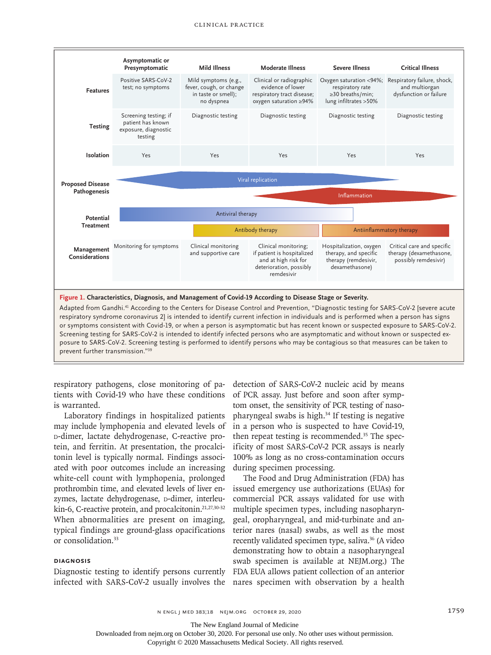

respiratory syndrome coronavirus 2] is intended to identify current infection in individuals and is performed when a person has signs or symptoms consistent with Covid-19, or when a person is asymptomatic but has recent known or suspected exposure to SARS-CoV-2. Screening testing for SARS-CoV-2 is intended to identify infected persons who are asymptomatic and without known or suspected exposure to SARS-CoV-2. Screening testing is performed to identify persons who may be contagious so that measures can be taken to prevent further transmission."39

respiratory pathogens, close monitoring of patients with Covid-19 who have these conditions is warranted.

Laboratory findings in hospitalized patients may include lymphopenia and elevated levels of d-dimer, lactate dehydrogenase, C-reactive protein, and ferritin. At presentation, the procalcitonin level is typically normal. Findings associated with poor outcomes include an increasing white-cell count with lymphopenia, prolonged prothrombin time, and elevated levels of liver enzymes, lactate dehydrogenase, p-dimer, interleukin-6, C-reactive protein, and procalcitonin.<sup>21,27,30-32</sup> When abnormalities are present on imaging, typical findings are ground-glass opacifications or consolidation.33

## **Diagnosis**

Diagnostic testing to identify persons currently infected with SARS-CoV-2 usually involves the

detection of SARS-CoV-2 nucleic acid by means of PCR assay. Just before and soon after symptom onset, the sensitivity of PCR testing of nasopharyngeal swabs is high.34 If testing is negative in a person who is suspected to have Covid-19, then repeat testing is recommended.35 The specificity of most SARS-CoV-2 PCR assays is nearly 100% as long as no cross-contamination occurs during specimen processing.

The Food and Drug Administration (FDA) has issued emergency use authorizations (EUAs) for commercial PCR assays validated for use with multiple specimen types, including nasopharyngeal, oropharyngeal, and mid-turbinate and anterior nares (nasal) swabs, as well as the most recently validated specimen type, saliva.<sup>36</sup> (A video demonstrating how to obtain a nasopharyngeal swab specimen is available at NEJM.org.) The FDA EUA allows patient collection of an anterior nares specimen with observation by a health

n engl j med 383;18 nejm.org October 29, 2020 1759 1759 1759

The New England Journal of Medicine

Downloaded from nejm.org on October 30, 2020. For personal use only. No other uses without permission.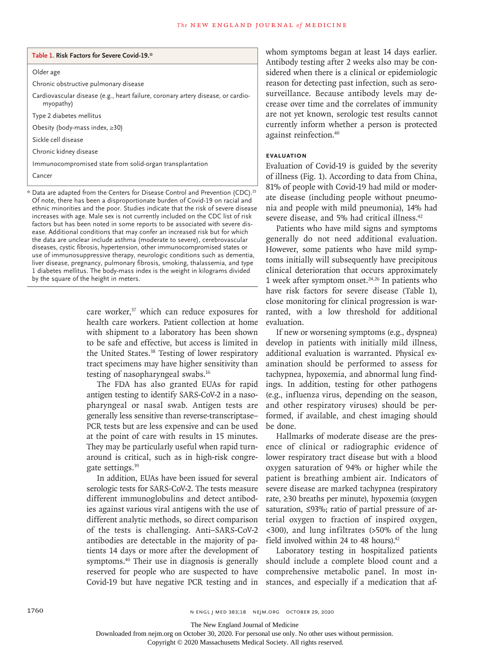#### **Table 1. Risk Factors for Severe Covid-19.\***

#### Older age

Chronic obstructive pulmonary disease

Cardiovascular disease (e.g., heart failure, coronary artery disease, or cardiomyopathy)

Type 2 diabetes mellitus

Obesity (body-mass index, ≥30)

Sickle cell disease

Chronic kidney disease

Immunocompromised state from solid-organ transplantation

Cancer

\* Data are adapted from the Centers for Disease Control and Prevention (CDC).25 Of note, there has been a disproportionate burden of Covid-19 on racial and ethnic minorities and the poor. Studies indicate that the risk of severe disease increases with age. Male sex is not currently included on the CDC list of risk factors but has been noted in some reports to be associated with severe disease. Additional conditions that may confer an increased risk but for which the data are unclear include asthma (moderate to severe), cerebrovascular diseases, cystic fibrosis, hypertension, other immunocompromised states or use of immunosuppressive therapy, neurologic conditions such as dementia, liver disease, pregnancy, pulmonary fibrosis, smoking, thalassemia, and type 1 diabetes mellitus. The body-mass index is the weight in kilograms divided by the square of the height in meters.

> care worker,<sup>37</sup> which can reduce exposures for health care workers. Patient collection at home with shipment to a laboratory has been shown to be safe and effective, but access is limited in the United States.<sup>38</sup> Testing of lower respiratory tract specimens may have higher sensitivity than testing of nasopharyngeal swabs.16

> The FDA has also granted EUAs for rapid antigen testing to identify SARS-CoV-2 in a nasopharyngeal or nasal swab. Antigen tests are generally less sensitive than reverse-transcriptase– PCR tests but are less expensive and can be used at the point of care with results in 15 minutes. They may be particularly useful when rapid turnaround is critical, such as in high-risk congregate settings.<sup>39</sup>

> In addition, EUAs have been issued for several serologic tests for SARS-CoV-2. The tests measure different immunoglobulins and detect antibodies against various viral antigens with the use of different analytic methods, so direct comparison of the tests is challenging. Anti–SARS-CoV-2 antibodies are detectable in the majority of patients 14 days or more after the development of symptoms.40 Their use in diagnosis is generally reserved for people who are suspected to have Covid-19 but have negative PCR testing and in

whom symptoms began at least 14 days earlier. Antibody testing after 2 weeks also may be considered when there is a clinical or epidemiologic reason for detecting past infection, such as serosurveillance. Because antibody levels may decrease over time and the correlates of immunity are not yet known, serologic test results cannot currently inform whether a person is protected against reinfection.40

## **Evaluation**

Evaluation of Covid-19 is guided by the severity of illness (Fig. 1). According to data from China, 81% of people with Covid-19 had mild or moderate disease (including people without pneumonia and people with mild pneumonia), 14% had severe disease, and 5% had critical illness.<sup>42</sup>

Patients who have mild signs and symptoms generally do not need additional evaluation. However, some patients who have mild symptoms initially will subsequently have precipitous clinical deterioration that occurs approximately 1 week after symptom onset. $24,26$  In patients who have risk factors for severe disease (Table 1), close monitoring for clinical progression is warranted, with a low threshold for additional evaluation.

If new or worsening symptoms (e.g., dyspnea) develop in patients with initially mild illness, additional evaluation is warranted. Physical examination should be performed to assess for tachypnea, hypoxemia, and abnormal lung findings. In addition, testing for other pathogens (e.g., influenza virus, depending on the season, and other respiratory viruses) should be performed, if available, and chest imaging should be done.

Hallmarks of moderate disease are the presence of clinical or radiographic evidence of lower respiratory tract disease but with a blood oxygen saturation of 94% or higher while the patient is breathing ambient air. Indicators of severe disease are marked tachypnea (respiratory rate, ≥30 breaths per minute), hypoxemia (oxygen saturation, ≤93%; ratio of partial pressure of arterial oxygen to fraction of inspired oxygen, <300), and lung infiltrates (>50% of the lung field involved within 24 to 48 hours).<sup>42</sup>

Laboratory testing in hospitalized patients should include a complete blood count and a comprehensive metabolic panel. In most instances, and especially if a medication that af-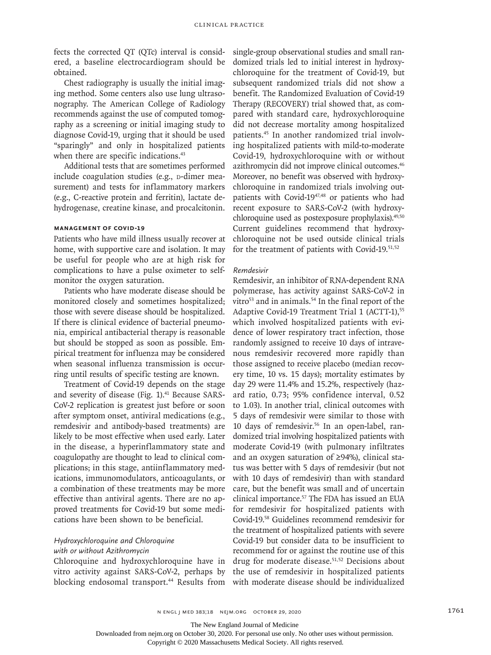fects the corrected QT (QTc) interval is considered, a baseline electrocardiogram should be obtained.

Chest radiography is usually the initial imaging method. Some centers also use lung ultrasonography. The American College of Radiology recommends against the use of computed tomography as a screening or initial imaging study to diagnose Covid-19, urging that it should be used "sparingly" and only in hospitalized patients when there are specific indications.<sup>43</sup>

Additional tests that are sometimes performed include coagulation studies (e.g., p-dimer measurement) and tests for inflammatory markers (e.g., C-reactive protein and ferritin), lactate dehydrogenase, creatine kinase, and procalcitonin.

## **Management of Covid-19**

Patients who have mild illness usually recover at home, with supportive care and isolation. It may be useful for people who are at high risk for complications to have a pulse oximeter to selfmonitor the oxygen saturation.

Patients who have moderate disease should be monitored closely and sometimes hospitalized; those with severe disease should be hospitalized. If there is clinical evidence of bacterial pneumonia, empirical antibacterial therapy is reasonable but should be stopped as soon as possible. Empirical treatment for influenza may be considered when seasonal influenza transmission is occurring until results of specific testing are known.

Treatment of Covid-19 depends on the stage and severity of disease (Fig. 1).<sup>41</sup> Because SARS-CoV-2 replication is greatest just before or soon after symptom onset, antiviral medications (e.g., remdesivir and antibody-based treatments) are likely to be most effective when used early. Later in the disease, a hyperinflammatory state and coagulopathy are thought to lead to clinical complications; in this stage, antiinflammatory medications, immunomodulators, anticoagulants, or a combination of these treatments may be more effective than antiviral agents. There are no approved treatments for Covid-19 but some medications have been shown to be beneficial.

# *Hydroxychloroquine and Chloroquine with or without Azithromycin*

Chloroquine and hydroxychloroquine have in vitro activity against SARS-CoV-2, perhaps by blocking endosomal transport.<sup>44</sup> Results from single-group observational studies and small randomized trials led to initial interest in hydroxychloroquine for the treatment of Covid-19, but subsequent randomized trials did not show a benefit. The Randomized Evaluation of Covid-19 Therapy (RECOVERY) trial showed that, as compared with standard care, hydroxychloroquine did not decrease mortality among hospitalized patients.45 In another randomized trial involving hospitalized patients with mild-to-moderate Covid-19, hydroxychloroquine with or without azithromycin did not improve clinical outcomes.46 Moreover, no benefit was observed with hydroxychloroquine in randomized trials involving outpatients with Covid-1947,48 or patients who had recent exposure to SARS-CoV-2 (with hydroxychloroquine used as postexposure prophylaxis).<sup>49,50</sup> Current guidelines recommend that hydroxychloroquine not be used outside clinical trials for the treatment of patients with Covid-19.<sup>51,52</sup>

## *Remdesivir*

Remdesivir, an inhibitor of RNA-dependent RNA polymerase, has activity against SARS-CoV-2 in vitro<sup>53</sup> and in animals.<sup>54</sup> In the final report of the Adaptive Covid-19 Treatment Trial 1 (ACTT-1),<sup>55</sup> which involved hospitalized patients with evidence of lower respiratory tract infection, those randomly assigned to receive 10 days of intravenous remdesivir recovered more rapidly than those assigned to receive placebo (median recovery time, 10 vs. 15 days); mortality estimates by day 29 were 11.4% and 15.2%, respectively (hazard ratio, 0.73; 95% confidence interval, 0.52 to 1.03). In another trial, clinical outcomes with 5 days of remdesivir were similar to those with 10 days of remdesivir.56 In an open-label, randomized trial involving hospitalized patients with moderate Covid-19 (with pulmonary infiltrates and an oxygen saturation of ≥94%), clinical status was better with 5 days of remdesivir (but not with 10 days of remdesivir) than with standard care, but the benefit was small and of uncertain clinical importance.<sup>57</sup> The FDA has issued an EUA for remdesivir for hospitalized patients with Covid-19.58 Guidelines recommend remdesivir for the treatment of hospitalized patients with severe Covid-19 but consider data to be insufficient to recommend for or against the routine use of this drug for moderate disease.<sup>51,52</sup> Decisions about the use of remdesivir in hospitalized patients with moderate disease should be individualized

The New England Journal of Medicine

Downloaded from nejm.org on October 30, 2020. For personal use only. No other uses without permission.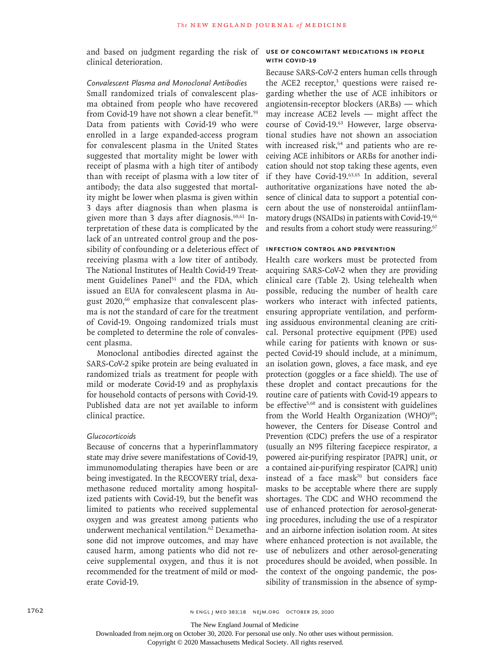and based on judgment regarding the risk of **Use of Concomitant Medications in People**  clinical deterioration.

## *Convalescent Plasma and Monoclonal Antibodies*

Small randomized trials of convalescent plasma obtained from people who have recovered from Covid-19 have not shown a clear benefit.<sup>59</sup> Data from patients with Covid-19 who were enrolled in a large expanded-access program for convalescent plasma in the United States suggested that mortality might be lower with receipt of plasma with a high titer of antibody than with receipt of plasma with a low titer of antibody; the data also suggested that mortality might be lower when plasma is given within 3 days after diagnosis than when plasma is given more than 3 days after diagnosis. $60,61$  Interpretation of these data is complicated by the lack of an untreated control group and the possibility of confounding or a deleterious effect of receiving plasma with a low titer of antibody. The National Institutes of Health Covid-19 Treatment Guidelines Panel<sup>51</sup> and the FDA, which issued an EUA for convalescent plasma in August 2020,<sup>60</sup> emphasize that convalescent plasma is not the standard of care for the treatment of Covid-19. Ongoing randomized trials must be completed to determine the role of convalescent plasma.

Monoclonal antibodies directed against the SARS-CoV-2 spike protein are being evaluated in randomized trials as treatment for people with mild or moderate Covid-19 and as prophylaxis for household contacts of persons with Covid-19. Published data are not yet available to inform clinical practice.

## *Glucocorticoids*

Because of concerns that a hyperinflammatory state may drive severe manifestations of Covid-19, immunomodulating therapies have been or are being investigated. In the RECOVERY trial, dexamethasone reduced mortality among hospitalized patients with Covid-19, but the benefit was limited to patients who received supplemental oxygen and was greatest among patients who underwent mechanical ventilation.<sup>62</sup> Dexamethasone did not improve outcomes, and may have caused harm, among patients who did not receive supplemental oxygen, and thus it is not recommended for the treatment of mild or moderate Covid-19.

# **with Covid-19**

Because SARS-CoV-2 enters human cells through the ACE2 receptor,<sup>3</sup> questions were raised regarding whether the use of ACE inhibitors or angiotensin-receptor blockers (ARBs) — which may increase ACE2 levels — might affect the course of Covid-19.63 However, large observational studies have not shown an association with increased risk, $64$  and patients who are receiving ACE inhibitors or ARBs for another indication should not stop taking these agents, even if they have Covid-19.<sup>63,65</sup> In addition, several authoritative organizations have noted the absence of clinical data to support a potential concern about the use of nonsteroidal antiinflammatory drugs (NSAIDs) in patients with Covid-19,<sup>66</sup> and results from a cohort study were reassuring.<sup>67</sup>

### **Infection Control and Prevention**

Health care workers must be protected from acquiring SARS-CoV-2 when they are providing clinical care (Table 2). Using telehealth when possible, reducing the number of health care workers who interact with infected patients, ensuring appropriate ventilation, and performing assiduous environmental cleaning are critical. Personal protective equipment (PPE) used while caring for patients with known or suspected Covid-19 should include, at a minimum, an isolation gown, gloves, a face mask, and eye protection (goggles or a face shield). The use of these droplet and contact precautions for the routine care of patients with Covid-19 appears to be effective<sup>5,68</sup> and is consistent with guidelines from the World Health Organization (WHO) $69$ ; however, the Centers for Disease Control and Prevention (CDC) prefers the use of a respirator (usually an N95 filtering facepiece respirator, a powered air-purifying respirator [PAPR] unit, or a contained air-purifying respirator [CAPR] unit) instead of a face mask<sup>70</sup> but considers face masks to be acceptable where there are supply shortages. The CDC and WHO recommend the use of enhanced protection for aerosol-generating procedures, including the use of a respirator and an airborne infection isolation room. At sites where enhanced protection is not available, the use of nebulizers and other aerosol-generating procedures should be avoided, when possible. In the context of the ongoing pandemic, the possibility of transmission in the absence of symp-

The New England Journal of Medicine

Downloaded from nejm.org on October 30, 2020. For personal use only. No other uses without permission.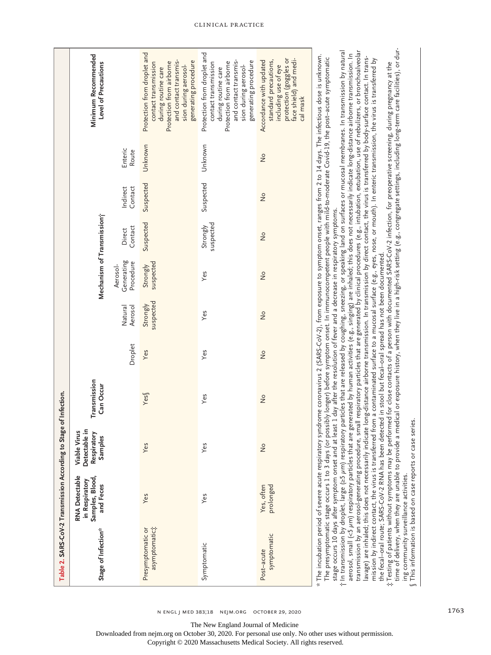|                                                                   | Minimum Recommended<br>Level of Precautions<br>Mechanism of Transmission;<br>Transmission<br>Can Occur<br>Detectable in<br><b>Viable Virus</b><br>Respiratory<br>Samples | Enteric<br>Route<br>Contact<br>Indirect<br>Contact<br>Direct<br>Generating<br>Procedure<br>Aerosol-<br>Aerosol<br>Natural<br>Droplet | Protection from droplet and<br>and contact transmis-<br>generating procedure<br>contact transmission<br>Protection from airborne<br>sion during aerosol-<br>during routine care<br>Unknown<br>Suspected<br>Suspected<br>suspected<br>Strongly<br>suspected<br>Strongly<br>Yes<br>Yes<br>Yes | Protection from droplet and<br>and contact transmis-<br>generating procedure<br>contact transmission<br>Protection from airborne<br>sion during aerosol-<br>during routine care<br>Unknown<br>Suspected<br>suspected<br>Strongly<br>Yes<br>Yes<br>Yes<br>Yes<br>Yes | protection (goggles or<br>face shield) and medi-<br>standard precautions,<br>Accordance with updated<br>including use of eye<br>cal mask<br>$\frac{1}{2}$<br>$\frac{1}{2}$<br>$\frac{1}{2}$<br>$\frac{1}{2}$<br>$\frac{1}{2}$<br>$\frac{1}{2}$<br>$\frac{1}{2}$<br>$\frac{1}{2}$ | $\dagger$ In transmission by droplet, large (≥5 $\mu$ m) respiratory particles that are released by coughing, sneezing, or speaking land on surfaces or mucosal membranes. In transmission by natural<br>syndrome coronavirus 2 (SARS-CoV-2), from exposure to symptom onset, ranges from 2 to 14 days. The infectious dose is unknown.<br>possibly longer) before symptom onset. In immunocompetent people with mild-to-moderate Covid-19, the post-acute symptomatic<br>stage occurs 10 days after symptom onset and at least 1 day after the resolution of fever and a decrease in respiratory symptoms. |
|-------------------------------------------------------------------|--------------------------------------------------------------------------------------------------------------------------------------------------------------------------|--------------------------------------------------------------------------------------------------------------------------------------|---------------------------------------------------------------------------------------------------------------------------------------------------------------------------------------------------------------------------------------------------------------------------------------------|---------------------------------------------------------------------------------------------------------------------------------------------------------------------------------------------------------------------------------------------------------------------|----------------------------------------------------------------------------------------------------------------------------------------------------------------------------------------------------------------------------------------------------------------------------------|-------------------------------------------------------------------------------------------------------------------------------------------------------------------------------------------------------------------------------------------------------------------------------------------------------------------------------------------------------------------------------------------------------------------------------------------------------------------------------------------------------------------------------------------------------------------------------------------------------------|
|                                                                   |                                                                                                                                                                          |                                                                                                                                      |                                                                                                                                                                                                                                                                                             |                                                                                                                                                                                                                                                                     |                                                                                                                                                                                                                                                                                  | aerosol, small (<5 µm) respiratory particles that are generated by human activities (e.g., singing) are inhaled; this does not necessarily indicate long-distance airborne transmission. In                                                                                                                                                                                                                                                                                                                                                                                                                 |
| Table 2. SARS-CoV-2 Transmission According to Stage of Infection. | RNA Detectable<br>Samples, Blood,<br>in Respiratory<br>and Feces<br>Stage of Infection*                                                                                  |                                                                                                                                      | Yes<br>asymptomatic;<br>Presymptomatic or                                                                                                                                                                                                                                                   | Yes<br>Symptomatic                                                                                                                                                                                                                                                  | prolonged<br>Yes, often<br>symptomatic<br>Post-acute                                                                                                                                                                                                                             | * The incubation period of severe acute respiratory<br>The presymptomatic stage occurs 1 to 3 days (or                                                                                                                                                                                                                                                                                                                                                                                                                                                                                                      |

lavage) are inhaled; this does not necessarily indicate long-distance airborne transmission. In transsion by direct contact, the virus is transferred by body-surface contact. In trans-<br>mission by indirect contact, the viru lavage) are inhaled; this does not necessarily indicate long-distance airborne transmission. In transmission by direct contact, the virus is transferred by body-surface contact. In transmission by indirect contact, the virus is transferred from a contaminated surface to a mucosal surface (e.g., eyes, nose, or mouth). In enteric transmission, the virus is transferred by the fecal-oral route; SARS-COV-2 RNA has been detected in stool but fecal-oral spread has not been documented. the fecal–oral route; SARS-CoV-2 RNA has been detected in stool but fecal–oral spread has not been documented.

time of delivery, when they are unable to provide a medical or exposure history, when they live in a high-risk setting (e.g., congregate settings, including long-term care facilities), or durtime of delivery, when they are unable to provide a medical or exposure history, when they live in a high-risk setting (e.g., congregate settings, including long-term care facilities), or dur-‡Testing of patients without symptoms may be performed for close contacts of a person with documented SARS-CoV-2 infection, for preoperative screening, during pregnancy at the  $\ddagger$ Testing of patients without symptoms may be performed for close contacts of a person with documented SARS-CoV-2 infection, for preoperative screening, during pregnancy at the ing community surveillance activities.<br>This information is based on case reports or case series. ing community surveillance activities.

This information is based on case reports or case series.

§

The New England Journal of Medicine

Downloaded from nejm.org on October 30, 2020. For personal use only. No other uses without permission.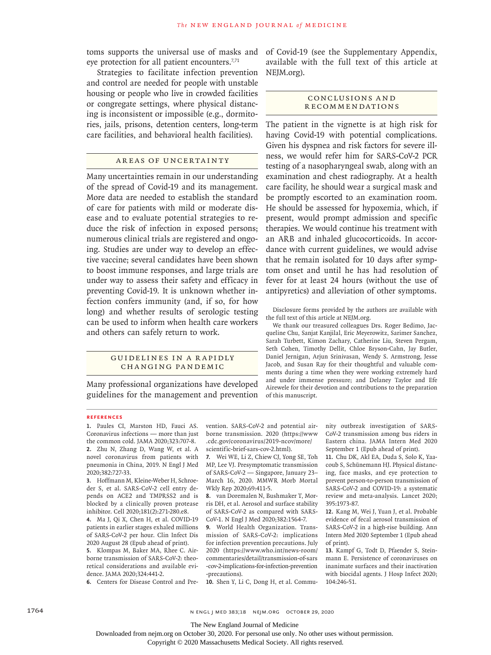toms supports the universal use of masks and eye protection for all patient encounters.<sup>7,71</sup>

Strategies to facilitate infection prevention and control are needed for people with unstable housing or people who live in crowded facilities or congregate settings, where physical distancing is inconsistent or impossible (e.g., dormitories, jails, prisons, detention centers, long-term care facilities, and behavioral health facilities).

## Areas of Uncertainty

Many uncertainties remain in our understanding of the spread of Covid-19 and its management. More data are needed to establish the standard of care for patients with mild or moderate disease and to evaluate potential strategies to reduce the risk of infection in exposed persons; numerous clinical trials are registered and ongoing. Studies are under way to develop an effective vaccine; several candidates have been shown to boost immune responses, and large trials are under way to assess their safety and efficacy in preventing Covid-19. It is unknown whether infection confers immunity (and, if so, for how long) and whether results of serologic testing can be used to inform when health care workers and others can safely return to work.

## GUIDELINES IN A RAPIDLY Changing Pandemic

Many professional organizations have developed guidelines for the management and prevention

# of Covid-19 (see the Supplementary Appendix, available with the full text of this article at NEJM.org).

#### Conclusions a nd Recommendations

The patient in the vignette is at high risk for having Covid-19 with potential complications. Given his dyspnea and risk factors for severe illness, we would refer him for SARS-CoV-2 PCR testing of a nasopharyngeal swab, along with an examination and chest radiography. At a health care facility, he should wear a surgical mask and be promptly escorted to an examination room. He should be assessed for hypoxemia, which, if present, would prompt admission and specific therapies. We would continue his treatment with an ARB and inhaled glucocorticoids. In accordance with current guidelines, we would advise that he remain isolated for 10 days after symptom onset and until he has had resolution of fever for at least 24 hours (without the use of antipyretics) and alleviation of other symptoms.

Disclosure forms provided by the authors are available with the full text of this article at NEJM.org.

We thank our treasured colleagues Drs. Roger Bedimo, Jacqueline Chu, Sanjat Kanjilal, Eric Meyerowitz, Sarimer Sanchez, Sarah Turbett, Kimon Zachary, Catherine Liu, Steven Pergam, Seth Cohen, Timothy Dellit, Chloe Bryson-Cahn, Jay Butler, Daniel Jernigan, Arjun Srinivasan, Wendy S. Armstrong, Jesse Jacob, and Susan Ray for their thoughtful and valuable comments during a time when they were working extremely hard and under immense pressure; and Delaney Taylor and Efe Airewele for their devotion and contributions to the preparation of this manuscript.

#### **References**

**1.** Paules CI, Marston HD, Fauci AS. Coronavirus infections — more than just the common cold. JAMA 2020;323:707-8. **2.** Zhu N, Zhang D, Wang W, et al. A novel coronavirus from patients with pneumonia in China, 2019. N Engl J Med 2020;382:727-33.

**3.** Hoffmann M, Kleine-Weber H, Schroeder S, et al. SARS-CoV-2 cell entry depends on ACE2 and TMPRSS2 and is blocked by a clinically proven protease inhibitor. Cell 2020;181(2):271-280.e8.

**4.** Ma J, Qi X, Chen H, et al. COVID-19 patients in earlier stages exhaled millions of SARS-CoV-2 per hour. Clin Infect Dis 2020 August 28 (Epub ahead of print).

**5.** Klompas M, Baker MA, Rhee C. Airborne transmission of SARS-CoV-2: theoretical considerations and available evidence. JAMA 2020;324:441-2.

**6.** Centers for Disease Control and Pre-

vention. SARS-CoV-2 and potential airborne transmission. 2020 (https://www .cdc.gov/coronavirus/2019-ncov/more/ scientific-brief-sars-cov-2.html).

**7.** Wei WE, Li Z, Chiew CJ, Yong SE, Toh MP, Lee VJ. Presymptomatic transmission of SARS-CoV-2 — Singapore, January 23– March 16, 2020. MMWR Morb Mortal Wkly Rep 2020;69:411-5.

**8.** van Doremalen N, Bushmaker T, Morris DH, et al. Aerosol and surface stability of SARS-CoV-2 as compared with SARS-CoV-1. N Engl J Med 2020;382:1564-7.

**9.** World Health Organization. Transmission of SARS-CoV-2: implications for infection prevention precautions. July 2020 (https://www.who.int/news-room/ commentaries/detail/transmission-of-sars -cov-2-implications-for-infection-prevention -precautions).

**10.** Shen Y, Li C, Dong H, et al. Commu-

nity outbreak investigation of SARS-CoV-2 transmission among bus riders in Eastern china. JAMA Intern Med 2020 September 1 (Epub ahead of print).

**11.** Chu DK, Akl EA, Duda S, Solo K, Yaacoub S, Schünemann HJ. Physical distancing, face masks, and eye protection to prevent person-to-person transmission of SARS-CoV-2 and COVID-19: a systematic review and meta-analysis. Lancet 2020; 395:1973-87.

**12.** Kang M, Wei J, Yuan J, et al. Probable evidence of fecal aerosol transmission of SARS-CoV-2 in a high-rise building. Ann Intern Med 2020 September 1 (Epub ahead of print).

**13.** Kampf G, Todt D, Pfaender S, Steinmann E. Persistence of coronaviruses on inanimate surfaces and their inactivation with biocidal agents. J Hosp Infect 2020; 104:246-51.

1764 n engl j med 383;18 nejm.org October 29, 2020

The New England Journal of Medicine

Downloaded from nejm.org on October 30, 2020. For personal use only. No other uses without permission.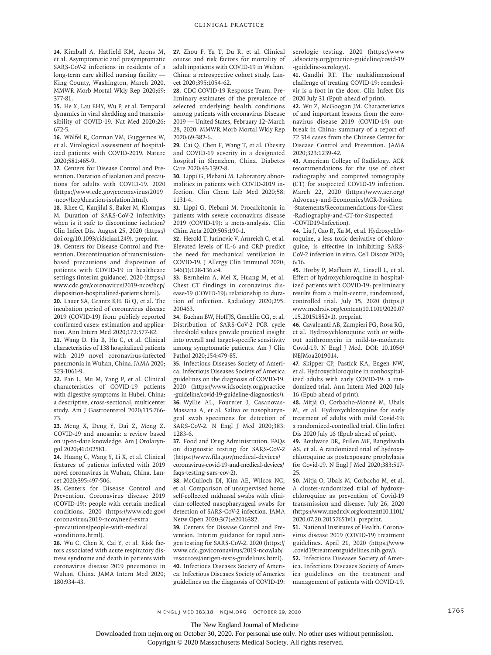**14.** Kimball A, Hatfield KM, Arons M, et al. Asymptomatic and presymptomatic SARS-CoV-2 infections in residents of a long-term care skilled nursing facility — King County, Washington, March 2020. MMWR Morb Mortal Wkly Rep 2020;69: 377-81.

**15.** He X, Lau EHY, Wu P, et al. Temporal dynamics in viral shedding and transmissibility of COVID-19. Nat Med 2020;26: 672-5.

**16.** Wölfel R, Corman VM, Guggemos W, et al. Virological assessment of hospitalized patients with COVID-2019. Nature 2020;581:465-9.

**17.** Centers for Disease Control and Prevention. Duration of isolation and precautions for adults with COVID-19. 2020 (https://www.cdc.gov/coronavirus/2019 -ncov/hcp/duration-isolation.html).

**18.** Rhee C, Kanjilal S, Baker M, Klompas M. Duration of SARS-CoV-2 infectivity: when is it safe to discontinue isolation? Clin Infect Dis. August 25, 2020 (https:// doi.org/10.1093/cid/ciaa1249). preprint.

**19.** Centers for Disease Control and Prevention. Discontinuation of transmissionbased precautions and disposition of patients with COVID-19 in healthcare settings (interim guidance). 2020 (https:// www.cdc.gov/coronavirus/2019-ncov/hcp/ disposition-hospitalized-patients.html).

**20.** Lauer SA, Grantz KH, Bi Q, et al. The incubation period of coronavirus disease 2019 (COVID-19) from publicly reported confirmed cases: estimation and application. Ann Intern Med 2020;172:577-82.

**21.** Wang D, Hu B, Hu C, et al. Clinical characteristics of 138 hospitalized patients with 2019 novel coronavirus-infected pneumonia in Wuhan, China. JAMA 2020; 323:1061-9.

**22.** Pan L, Mu M, Yang P, et al. Clinical characteristics of COVID-19 patients with digestive symptoms in Hubei, China: a descriptive, cross-sectional, multicenter study. Am J Gastroenterol 2020;115:766- 73.

**23.** Meng X, Deng Y, Dai Z, Meng Z. COVID-19 and anosmia: a review based on up-to-date knowledge. Am J Otolaryngol 2020;41:102581.

**24.** Huang C, Wang Y, Li X, et al. Clinical features of patients infected with 2019 novel coronavirus in Wuhan, China. Lancet 2020;395:497-506.

**25.** Centers for Disease Control and Prevention. Coronavirus disease 2019 (COVID-19): people with certain medical conditions. 2020 (https://www.cdc.gov/ coronavirus/2019-ncov/need-extra -precautions/people-with-medical -conditions.html).

**26.** Wu C, Chen X, Cai Y, et al. Risk factors associated with acute respiratory distress syndrome and death in patients with coronavirus disease 2019 pneumonia in Wuhan, China. JAMA Intern Med 2020; 180:934-43.

**27.** Zhou F, Yu T, Du R, et al. Clinical course and risk factors for mortality of adult inpatients with COVID-19 in Wuhan, China: a retrospective cohort study. Lancet 2020;395:1054-62.

**28.** CDC COVID-19 Response Team. Preliminary estimates of the prevalence of selected underlying health conditions among patients with coronavirus Disease 2019 — United States, February 12–March 28, 2020. MMWR Morb Mortal Wkly Rep 2020;69:382-6.

**29.** Cai Q, Chen F, Wang T, et al. Obesity and COVID-19 severity in a designated hospital in Shenzhen, China. Diabetes Care 2020;43:1392-8.

**30.** Lippi G, Plebani M. Laboratory abnormalities in patients with COVID-2019 infection. Clin Chem Lab Med 2020;58: 1131-4.

**31.** Lippi G, Plebani M. Procalcitonin in patients with severe coronavirus disease 2019 (COVID-19): a meta-analysis. Clin Chim Acta 2020;505:190-1.

**32.** Herold T, Jurinovic V, Arnreich C, et al. Elevated levels of IL-6 and CRP predict the need for mechanical ventilation in COVID-19. J Allergy Clin Immunol 2020; 146(1):128-136.e4.

**33.** Bernheim A, Mei X, Huang M, et al. Chest CT findings in coronavirus disease-19 (COVID-19): relationship to duration of infection. Radiology 2020;295: 200463.

**34.** Buchan BW, Hoff JS, Gmehlin CG, et al. Distribution of SARS-CoV-2 PCR cycle threshold values provide practical insight into overall and target-specific sensitivity among symptomatic patients. Am J Clin Pathol 2020;154:479-85.

**35.** Infectious Diseases Society of America. Infectious Diseases Society of America guidelines on the diagnosis of COVID-19. 2020 (https://www.idsociety.org/practice -guideline/covid-19-guideline-diagnostics/). **36.** Wyllie AL, Fournier J, Casanovas-Massana A, et al. Saliva or nasopharyngeal swab specimens for detection of SARS-CoV-2. N Engl J Med 2020;383: 1283-6.

**37.** Food and Drug Administration. FAQs on diagnostic testing for SARS-CoV-2 (https://www.fda.gov/medical-devices/ coronavirus-covid-19-and-medical-devices/ faqs-testing-sars-cov-2).

**38.** McCulloch DJ, Kim AE, Wilcox NC, et al. Comparison of unsupervised home self-collected midnasal swabs with clinician-collected nasopharyngeal swabs for detection of SARS-CoV-2 infection. JAMA Netw Open 2020;3(7):e2016382.

**39.** Centers for Disease Control and Prevention. Interim guidance for rapid antigen testing for SARS-CoV-2. 2020 (https:// www.cdc.gov/coronavirus/2019-ncov/lab/ resources/antigen-tests-guidelines.html). **40.** Infectious Diseases Society of America. Infectious Diseases Society of America guidelines on the diagnosis of COVID-19:

serologic testing. 2020 (https://www .idsociety.org/practice-guideline/covid-19 -guideline-serology/).

**41.** Gandhi RT. The multidimensional challenge of treating COVID-19: remdesivir is a foot in the door. Clin Infect Dis 2020 July 31 (Epub ahead of print).

**42.** Wu Z, McGoogan JM. Characteristics of and important lessons from the coronavirus disease 2019 (COVID-19) outbreak in China: summary of a report of 72 314 cases from the Chinese Center for Disease Control and Prevention. JAMA 2020;323:1239-42.

**43.** American College of Radiology. ACR recommendations for the use of chest radiography and computed tomography (CT) for suspected COVID-19 infection. March 22, 2020 (https://www.acr.org/ Advocacy-and-Economics/ACR-Position -Statements/Recommendations-for-Chest -Radiography-and-CT-for-Suspected -COVID19-Infection).

**44.** Liu J, Cao R, Xu M, et al. Hydroxychloroquine, a less toxic derivative of chloroquine, is effective in inhibiting SARS-CoV-2 infection in vitro. Cell Discov 2020; 6:16.

**45.** Horby P, Mafham M, Linsell L, et al. Effect of hydroxychloroquine in hospitalized patients with COVID-19: preliminary results from a multi-centre, randomized, controlled trial. July 15, 2020 (https:// www.medrxiv.org/content/10.1101/2020.07 .15.20151852v1). preprint.

**46.** Cavalcanti AB, Zampieri FG, Rosa RG, et al. Hydroxychloroquine with or without azithromycin in mild-to-moderate Covid-19. N Engl J Med. DOI: 10.1056/ NEJMoa2019014.

**47.** Skipper CP, Pastick KA, Engen NW, et al. Hydroxychloroquine in nonhospitalized adults with early COVID-19: a randomized trial. Ann Intern Med 2020 July 16 (Epub ahead of print).

**48.** Mitjà O, Corbacho-Monné M, Ubals M, et al. Hydroxychloroquine for early treatment of adults with mild Covid-19: a randomized-controlled trial. Clin Infect Dis 2020 July 16 (Epub ahead of print).

**49.** Boulware DR, Pullen MF, Bangdiwala AS, et al. A randomized trial of hydroxychloroquine as postexposure prophylaxis for Covid-19. N Engl J Med 2020;383:517- 25.

**50.** Mitja O, Ubals M, Corbacho M, et al. A cluster-randomized trial of hydroxychloroquine as prevention of Covid-19 transmission and disease. July 26, 2020 (https://www.medrxiv.org/content/10.1101/ 2020.07.20.20157651v1). preprint.

**51.** National Institutes of Health. Coronavirus disease 2019 (COVID-19) treatment guidelines. April 21, 2020 (https://www .covid19treatmentguidelines.nih.gov/).

**52.** Infectious Diseases Society of America. Infectious Diseases Society of America guidelines on the treatment and management of patients with COVID-19.

The New England Journal of Medicine

Downloaded from nejm.org on October 30, 2020. For personal use only. No other uses without permission.